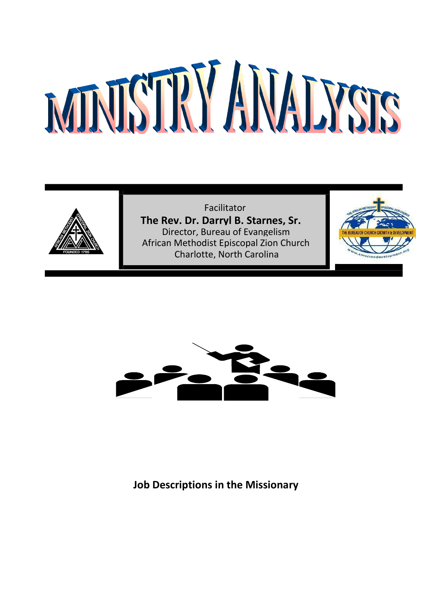

Facilitator **The Rev. Dr. Darryl B. Starnes, Sr.** Director, Bureau of Evangelism African Methodist Episcopal Zion Church Charlotte, North Carolina





**Job Descriptions in the Missionary**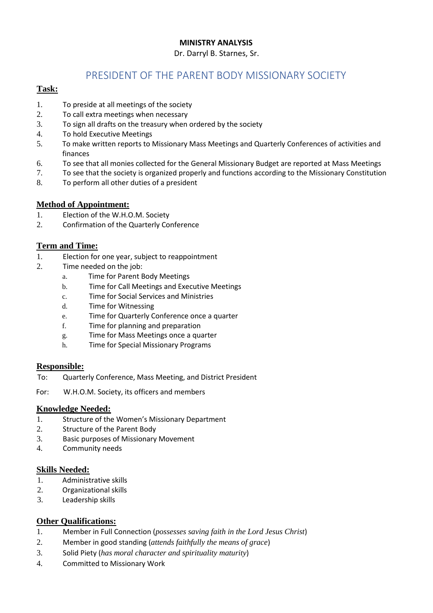#### Dr. Darryl B. Starnes, Sr.

# PRESIDENT OF THE PARENT BODY MISSIONARY SOCIETY

## **Task:**

- 1. To preside at all meetings of the society
- 2. To call extra meetings when necessary
- 3. To sign all drafts on the treasury when ordered by the society
- 4. To hold Executive Meetings
- 5. To make written reports to Missionary Mass Meetings and Quarterly Conferences of activities and finances
- 6. To see that all monies collected for the General Missionary Budget are reported at Mass Meetings
- 7. To see that the society is organized properly and functions according to the Missionary Constitution
- 8. To perform all other duties of a president

# **Method of Appointment:**

- 1. Election of the W.H.O.M. Society
- 2. Confirmation of the Quarterly Conference

#### **Term and Time:**

- 1. Election for one year, subject to reappointment
- 2. Time needed on the job:
	- a. Time for Parent Body Meetings
	- b. Time for Call Meetings and Executive Meetings
	- c. Time for Social Services and Ministries
	- d. Time for Witnessing
	- e. Time for Quarterly Conference once a quarter
	- f. Time for planning and preparation
	- g. Time for Mass Meetings once a quarter
	- h. Time for Special Missionary Programs

#### **Responsible:**

- To: Quarterly Conference, Mass Meeting, and District President
- For: W.H.O.M. Society, its officers and members

#### **Knowledge Needed:**

- 1. Structure of the Women's Missionary Department
- 2. Structure of the Parent Body
- 3. Basic purposes of Missionary Movement
- 4. Community needs

#### **Skills Needed:**

- 1. Administrative skills
- 2. Organizational skills
- 3. Leadership skills

- 1. Member in Full Connection (*possesses saving faith in the Lord Jesus Christ*)
- 2. Member in good standing (*attends faithfully the means of grace*)
- 3. Solid Piety (*has moral character and spirituality maturity*)
- 4. Committed to Missionary Work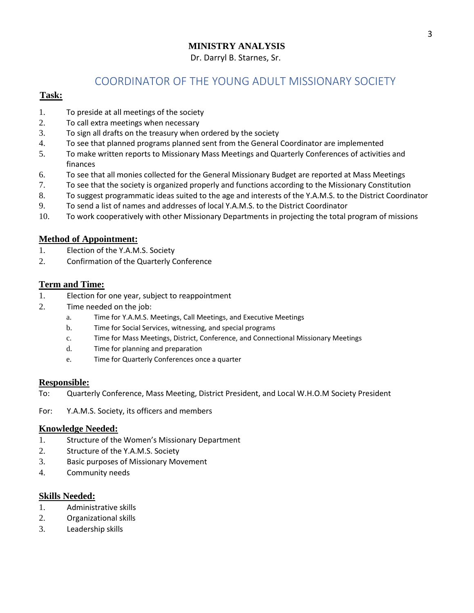# **MINISTRY ANALYSIS** Dr. Darryl B. Starnes, Sr.

# COORDINATOR OF THE YOUNG ADULT MISSIONARY SOCIETY

# **Task:**

- 1. To preside at all meetings of the society
- 2. To call extra meetings when necessary
- 3. To sign all drafts on the treasury when ordered by the society
- 4. To see that planned programs planned sent from the General Coordinator are implemented
- 5. To make written reports to Missionary Mass Meetings and Quarterly Conferences of activities and finances
- 6. To see that all monies collected for the General Missionary Budget are reported at Mass Meetings
- 7. To see that the society is organized properly and functions according to the Missionary Constitution
- 8. To suggest programmatic ideas suited to the age and interests of the Y.A.M.S. to the District Coordinator
- 9. To send a list of names and addresses of local Y.A.M.S. to the District Coordinator
- 10. To work cooperatively with other Missionary Departments in projecting the total program of missions

#### **Method of Appointment:**

- 1. Election of the Y.A.M.S. Society
- 2. Confirmation of the Quarterly Conference

#### **Term and Time:**

- 1. Election for one year, subject to reappointment
- 2. Time needed on the job:
	- a. Time for Y.A.M.S. Meetings, Call Meetings, and Executive Meetings
	- b. Time for Social Services, witnessing, and special programs
	- c. Time for Mass Meetings, District, Conference, and Connectional Missionary Meetings
	- d. Time for planning and preparation
	- e. Time for Quarterly Conferences once a quarter

#### **Responsible:**

- To: Quarterly Conference, Mass Meeting, District President, and Local W.H.O.M Society President
- For: Y.A.M.S. Society, its officers and members

#### **Knowledge Needed:**

- 1. Structure of the Women's Missionary Department
- 2. Structure of the Y.A.M.S. Society
- 3. Basic purposes of Missionary Movement
- 4. Community needs

- 1. Administrative skills
- 2. Organizational skills
- 3. Leadership skills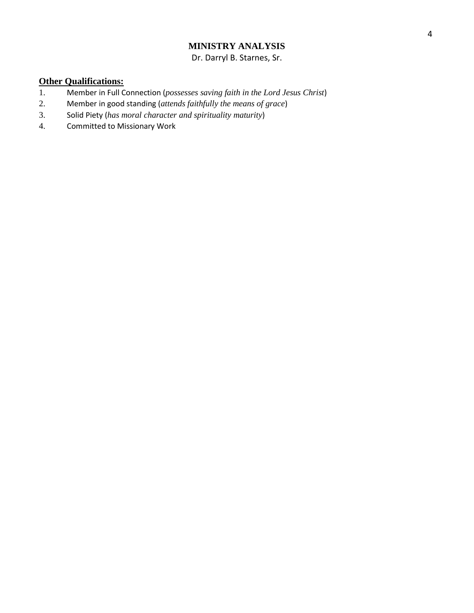Dr. Darryl B. Starnes, Sr.

- 1. Member in Full Connection (*possesses saving faith in the Lord Jesus Christ*)
- 2. Member in good standing (*attends faithfully the means of grace*)
- 3. Solid Piety (*has moral character and spirituality maturity*)
- 4. Committed to Missionary Work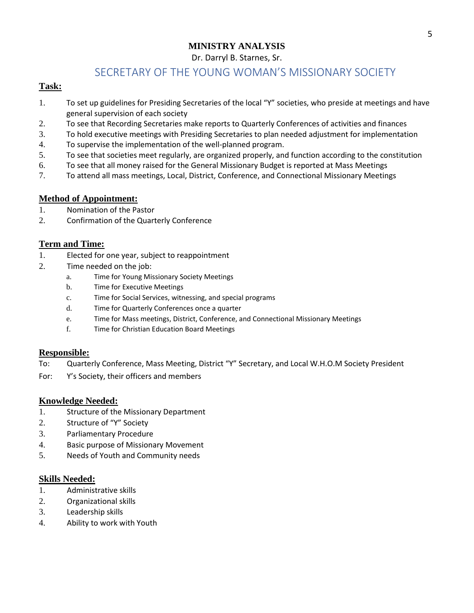### Dr. Darryl B. Starnes, Sr.

# SECRETARY OF THE YOUNG WOMAN'S MISSIONARY SOCIETY

#### **Task:**

- 1. To set up guidelines for Presiding Secretaries of the local "Y" societies, who preside at meetings and have general supervision of each society
- 2. To see that Recording Secretaries make reports to Quarterly Conferences of activities and finances
- 3. To hold executive meetings with Presiding Secretaries to plan needed adjustment for implementation
- 4. To supervise the implementation of the well-planned program.
- 5. To see that societies meet regularly, are organized properly, and function according to the constitution
- 6. To see that all money raised for the General Missionary Budget is reported at Mass Meetings
- 7. To attend all mass meetings, Local, District, Conference, and Connectional Missionary Meetings

# **Method of Appointment:**

- 1. Nomination of the Pastor
- 2. Confirmation of the Quarterly Conference

#### **Term and Time:**

- 1. Elected for one year, subject to reappointment
- 2. Time needed on the job:
	- a. Time for Young Missionary Society Meetings
	- b. Time for Executive Meetings
	- c. Time for Social Services, witnessing, and special programs
	- d. Time for Quarterly Conferences once a quarter
	- e. Time for Mass meetings, District, Conference, and Connectional Missionary Meetings
	- f. Time for Christian Education Board Meetings

#### **Responsible:**

- To: Quarterly Conference, Mass Meeting, District "Y" Secretary, and Local W.H.O.M Society President
- For: Y's Society, their officers and members

#### **Knowledge Needed:**

- 1. Structure of the Missionary Department
- 2. Structure of "Y" Society
- 3. Parliamentary Procedure
- 4. Basic purpose of Missionary Movement
- 5. Needs of Youth and Community needs

- 1. Administrative skills
- 2. Organizational skills
- 3. Leadership skills
- 4. Ability to work with Youth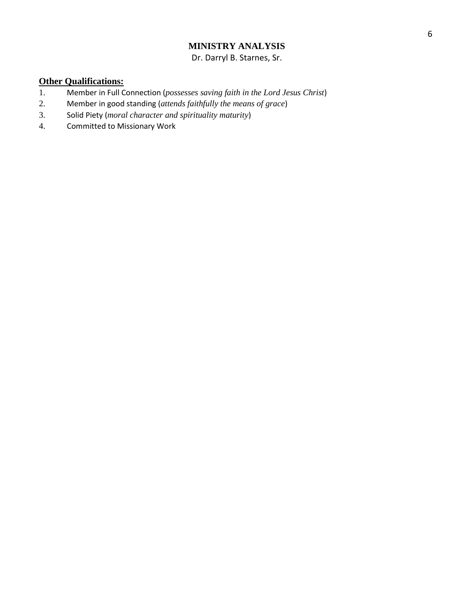Dr. Darryl B. Starnes, Sr.

- 1. Member in Full Connection (*possesses saving faith in the Lord Jesus Christ*)
- 2. Member in good standing (*attends faithfully the means of grace*)
- 3. Solid Piety (*moral character and spirituality maturity*)
- 4. Committed to Missionary Work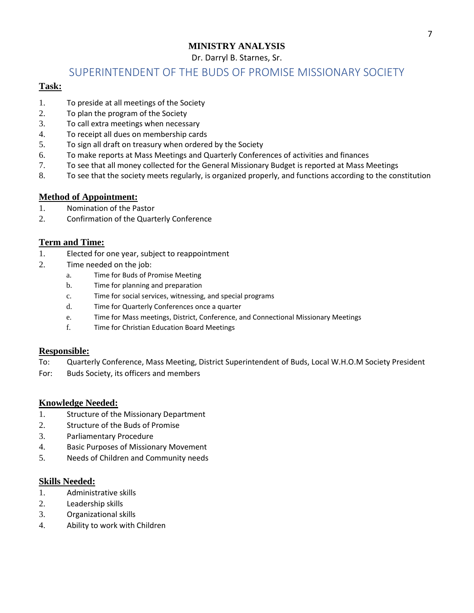# Dr. Darryl B. Starnes, Sr.

# SUPERINTENDENT OF THE BUDS OF PROMISE MISSIONARY SOCIETY

#### **Task:**

- 1. To preside at all meetings of the Society
- 2. To plan the program of the Society
- 3. To call extra meetings when necessary
- 4. To receipt all dues on membership cards
- 5. To sign all draft on treasury when ordered by the Society
- 6. To make reports at Mass Meetings and Quarterly Conferences of activities and finances
- 7. To see that all money collected for the General Missionary Budget is reported at Mass Meetings
- 8. To see that the society meets regularly, is organized properly, and functions according to the constitution

# **Method of Appointment:**

- 1. Nomination of the Pastor
- 2. Confirmation of the Quarterly Conference

#### **Term and Time:**

- 1. Elected for one year, subject to reappointment
- 2. Time needed on the job:
	- a. Time for Buds of Promise Meeting
	- b. Time for planning and preparation
	- c. Time for social services, witnessing, and special programs
	- d. Time for Quarterly Conferences once a quarter
	- e. Time for Mass meetings, District, Conference, and Connectional Missionary Meetings
	- f. Time for Christian Education Board Meetings

#### **Responsible:**

- To: Quarterly Conference, Mass Meeting, District Superintendent of Buds, Local W.H.O.M Society President
- For: Buds Society, its officers and members

#### **Knowledge Needed:**

- 1. Structure of the Missionary Department
- 2. Structure of the Buds of Promise
- 3. Parliamentary Procedure
- 4. Basic Purposes of Missionary Movement
- 5. Needs of Children and Community needs

- 1. Administrative skills
- 2. Leadership skills
- 3. Organizational skills
- 4. Ability to work with Children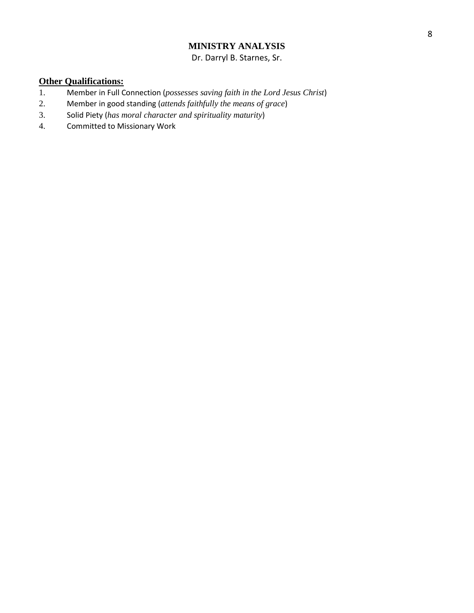Dr. Darryl B. Starnes, Sr.

- 1. Member in Full Connection (*possesses saving faith in the Lord Jesus Christ*)
- 2. Member in good standing (*attends faithfully the means of grace*)
- 3. Solid Piety (*has moral character and spirituality maturity*)
- 4. Committed to Missionary Work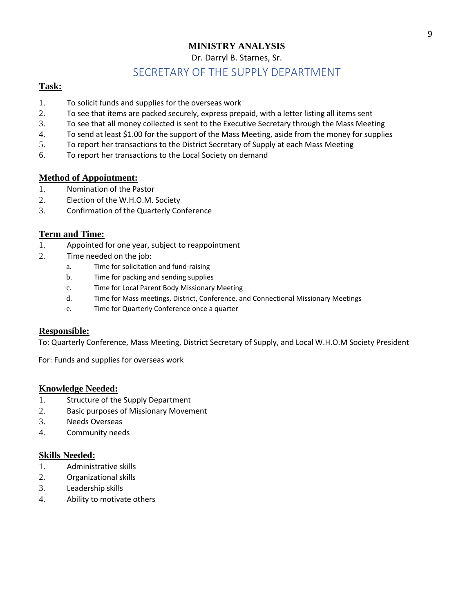Dr. Darryl B. Starnes, Sr.

# SECRETARY OF THE SUPPLY DEPARTMENT

#### **Task:**

- 1. To solicit funds and supplies for the overseas work
- 2. To see that items are packed securely, express prepaid, with a letter listing all items sent
- 3. To see that all money collected is sent to the Executive Secretary through the Mass Meeting
- 4. To send at least \$1.00 for the support of the Mass Meeting, aside from the money for supplies
- 5. To report her transactions to the District Secretary of Supply at each Mass Meeting
- 6. To report her transactions to the Local Society on demand

#### **Method of Appointment:**

- 1. Nomination of the Pastor
- 2. Election of the W.H.O.M. Society
- 3. Confirmation of the Quarterly Conference

#### **Term and Time:**

- 1. Appointed for one year, subject to reappointment
- 2. Time needed on the job:
	- a. Time for solicitation and fund-raising
	- b. Time for packing and sending supplies
	- c. Time for Local Parent Body Missionary Meeting
	- d. Time for Mass meetings, District, Conference, and Connectional Missionary Meetings
	- e. Time for Quarterly Conference once a quarter

#### **Responsible:**

To: Quarterly Conference, Mass Meeting, District Secretary of Supply, and Local W.H.O.M Society President

For: Funds and supplies for overseas work

#### **Knowledge Needed:**

- 1. Structure of the Supply Department
- 2. Basic purposes of Missionary Movement
- 3. Needs Overseas
- 4. Community needs

- 1. Administrative skills
- 2. Organizational skills
- 3. Leadership skills
- 4. Ability to motivate others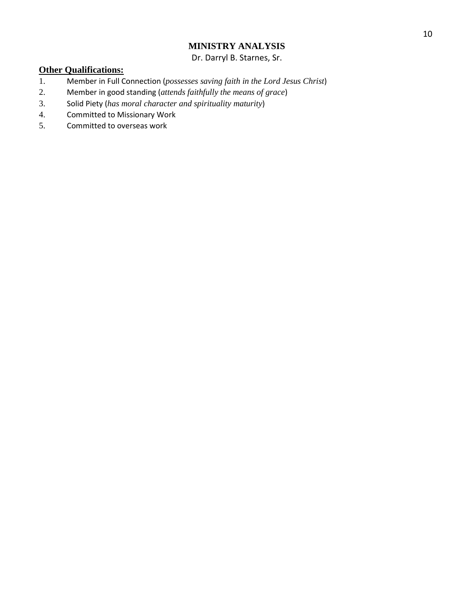Dr. Darryl B. Starnes, Sr.

- 1. Member in Full Connection (*possesses saving faith in the Lord Jesus Christ*)
- 2. Member in good standing (*attends faithfully the means of grace*)
- 3. Solid Piety (*has moral character and spirituality maturity*)
- 4. Committed to Missionary Work
- 5. Committed to overseas work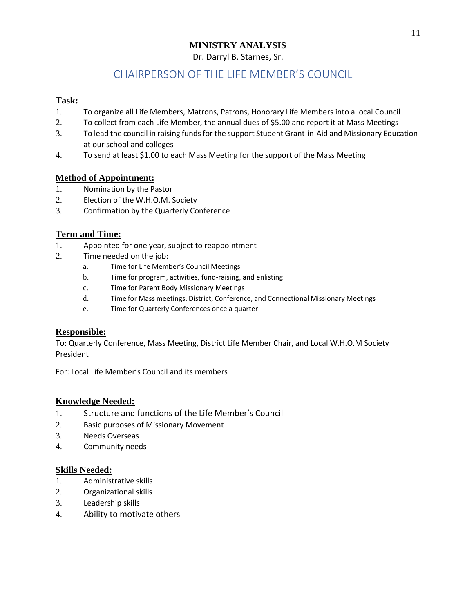## **MINISTRY ANALYSIS**  Dr. Darryl B. Starnes, Sr.

# CHAIRPERSON OF THE LIFE MEMBER'S COUNCIL

# **Task:**

- 1. To organize all Life Members, Matrons, Patrons, Honorary Life Members into a local Council
- 2. To collect from each Life Member, the annual dues of \$5.00 and report it at Mass Meetings
- 3. To lead the council in raising funds for the support Student Grant-in-Aid and Missionary Education at our school and colleges
- 4. To send at least \$1.00 to each Mass Meeting for the support of the Mass Meeting

# **Method of Appointment:**

- 1. Nomination by the Pastor
- 2. Election of the W.H.O.M. Society
- 3. Confirmation by the Quarterly Conference

# **Term and Time:**

- 1. Appointed for one year, subject to reappointment
- 2. Time needed on the job:
	- a. Time for Life Member's Council Meetings
	- b. Time for program, activities, fund-raising, and enlisting
	- c. Time for Parent Body Missionary Meetings
	- d. Time for Mass meetings, District, Conference, and Connectional Missionary Meetings
	- e. Time for Quarterly Conferences once a quarter

# **Responsible:**

To: Quarterly Conference, Mass Meeting, District Life Member Chair, and Local W.H.O.M Society President

For: Local Life Member's Council and its members

# **Knowledge Needed:**

- 1. Structure and functions of the Life Member's Council
- 2. Basic purposes of Missionary Movement
- 3. Needs Overseas
- 4. Community needs

- 1. Administrative skills
- 2. Organizational skills
- 3. Leadership skills
- 4. Ability to motivate others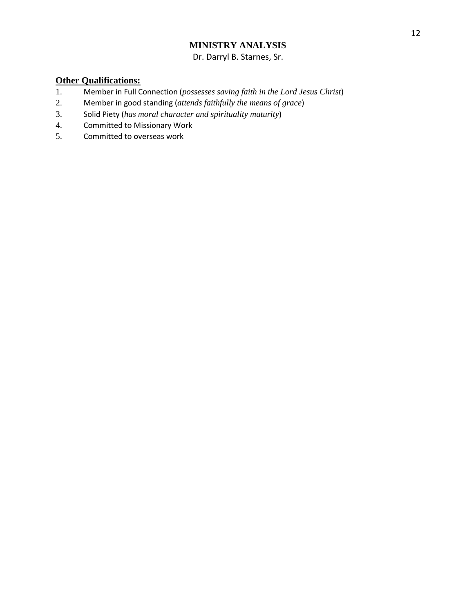# **MINISTRY ANALYSIS**  Dr. Darryl B. Starnes, Sr.

- 1. Member in Full Connection (*possesses saving faith in the Lord Jesus Christ*)
- 2. Member in good standing (*attends faithfully the means of grace*)
- 3. Solid Piety (*has moral character and spirituality maturity*)
- 4. Committed to Missionary Work
- 5. Committed to overseas work